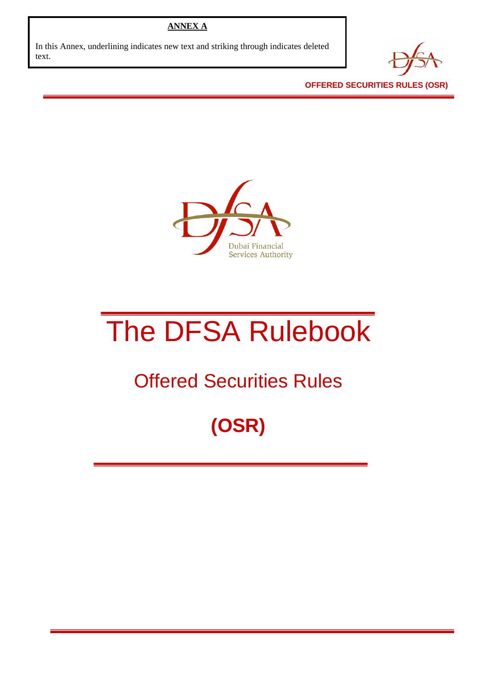## **ANNEX A**

In this Annex, underlining indicates new text and striking through indicates deleted text.



**OFFERED SECURITIES RULES (OSR)** 



# The DFSA Rulebook

## Offered Securities Rules

## **(OSR)**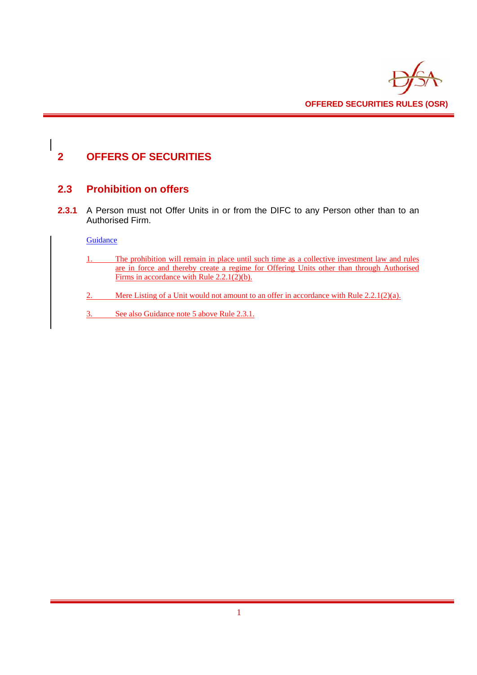

## **2 OFFERS OF SECURITIES**

## **2.3 Prohibition on offers**

**2.3.1** A Person must not Offer Units in or from the DIFC to any Person other than to an Authorised Firm.

#### **Guidance**

- 1. The prohibition will remain in place until such time as a collective investment law and rules are in force and thereby create a regime for Offering Units other than through Authorised Firms in accordance with Rule 2.2.1(2)(b).
- 2. Mere Listing of a Unit would not amount to an offer in accordance with Rule 2.2.1(2)(a).
- 3. See also Guidance note 5 above Rule 2.3.1.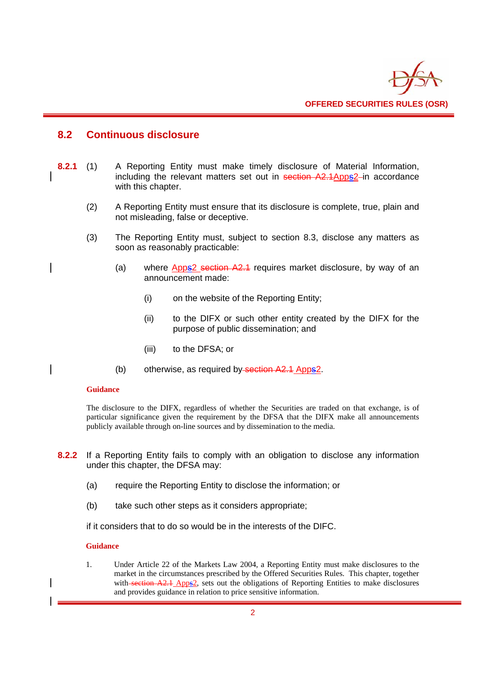

## **8.2 Continuous disclosure**

- **8.2.1** (1) A Reporting Entity must make timely disclosure of Material Information, including the relevant matters set out in section A2.1Apps2-in accordance with this chapter.
	- (2) A Reporting Entity must ensure that its disclosure is complete, true, plain and not misleading, false or deceptive.
	- (3) The Reporting Entity must, subject to section 8.3, disclose any matters as soon as reasonably practicable:
		- (a) where Apps2 section A2.1 requires market disclosure, by way of an announcement made:
			- (i) on the website of the Reporting Entity;
			- (ii) to the DIFX or such other entity created by the DIFX for the purpose of public dissemination; and
			- (iii) to the DFSA; or
		- (b) otherwise, as required by section A2.1 Apps2.

#### **Guidance**

The disclosure to the DIFX, regardless of whether the Securities are traded on that exchange, is of particular significance given the requirement by the DFSA that the DIFX make all announcements publicly available through on-line sources and by dissemination to the media.

- **8.2.2** If a Reporting Entity fails to comply with an obligation to disclose any information under this chapter, the DFSA may:
	- (a) require the Reporting Entity to disclose the information; or
	- (b) take such other steps as it considers appropriate;

if it considers that to do so would be in the interests of the DIFC.

#### **Guidance**

1. Under Article 22 of the Markets Law 2004, a Reporting Entity must make disclosures to the market in the circumstances prescribed by the Offered Securities Rules. This chapter, together with section A2.1 Apps2, sets out the obligations of Reporting Entities to make disclosures and provides guidance in relation to price sensitive information.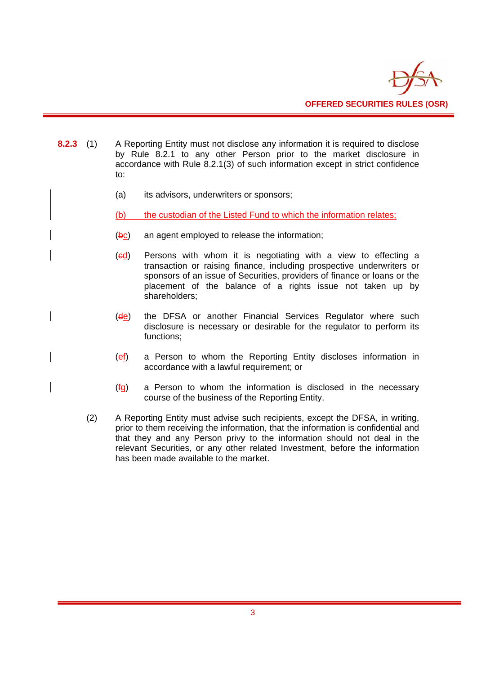

- **8.2.3** (1) A Reporting Entity must not disclose any information it is required to disclose by Rule 8.2.1 to any other Person prior to the market disclosure in accordance with Rule 8.2.1(3) of such information except in strict confidence to:
	- (a) its advisors, underwriters or sponsors;
	- (b) the custodian of the Listed Fund to which the information relates;
	- (bc) an agent employed to release the information;
	- (cd) Persons with whom it is negotiating with a view to effecting a transaction or raising finance, including prospective underwriters or sponsors of an issue of Securities, providers of finance or loans or the placement of the balance of a rights issue not taken up by shareholders;
	- (de) the DFSA or another Financial Services Regulator where such disclosure is necessary or desirable for the regulator to perform its functions;
	- (ef) a Person to whom the Reporting Entity discloses information in accordance with a lawful requirement; or
	- (fg) a Person to whom the information is disclosed in the necessary course of the business of the Reporting Entity.
	- (2) A Reporting Entity must advise such recipients, except the DFSA, in writing, prior to them receiving the information, that the information is confidential and that they and any Person privy to the information should not deal in the relevant Securities, or any other related Investment, before the information has been made available to the market.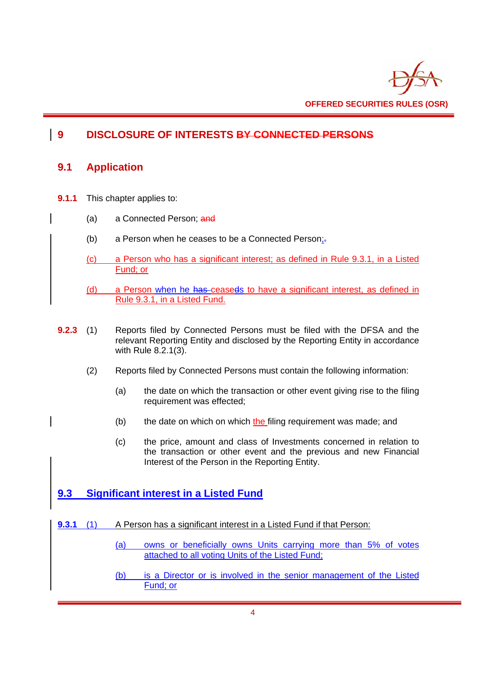

## **9 DISCLOSURE OF INTERESTS BY CONNECTED PERSONS**

## **9.1 Application**

- **9.1.1** This chapter applies to:
	- (a) a Connected Person; and
	- (b) a Person when he ceases to be a Connected Person<sub>i</sub>.
	- (c) a Person who has a significant interest; as defined in Rule 9.3.1, in a Listed Fund; or
	- (d) a Person when he has ceaseds to have a significant interest, as defined in Rule 9.3.1, in a Listed Fund.
- **9.2.3** (1) Reports filed by Connected Persons must be filed with the DFSA and the relevant Reporting Entity and disclosed by the Reporting Entity in accordance with Rule 8.2.1(3).
	- (2) Reports filed by Connected Persons must contain the following information:
		- (a) the date on which the transaction or other event giving rise to the filing requirement was effected;
		- $(b)$  the date on which on which the filing requirement was made; and
		- (c) the price, amount and class of Investments concerned in relation to the transaction or other event and the previous and new Financial Interest of the Person in the Reporting Entity.

## **9.3 Significant interest in a Listed Fund**

- **9.3.1** (1) A Person has a significant interest in a Listed Fund if that Person:
	- (a) owns or beneficially owns Units carrying more than 5% of votes attached to all voting Units of the Listed Fund;
	- (b) is a Director or is involved in the senior management of the Listed Fund; or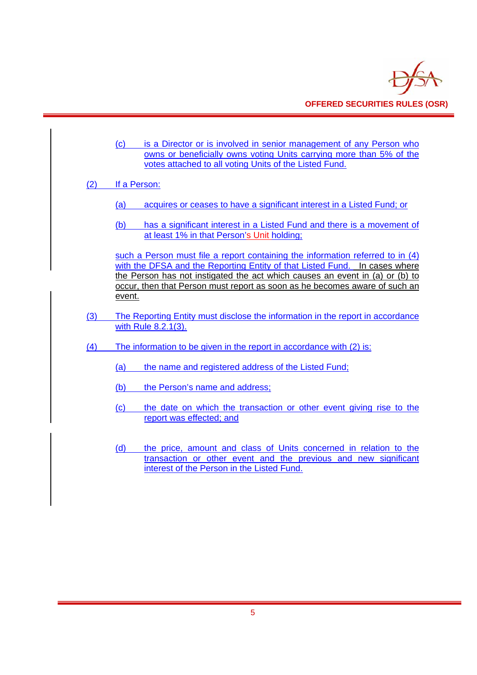

|     | (c)<br>is a Director or is involved in senior management of any Person who<br>owns or beneficially owns voting Units carrying more than 5% of the<br>votes attached to all voting Units of the Listed Fund.                                                                                                                          |  |  |  |
|-----|--------------------------------------------------------------------------------------------------------------------------------------------------------------------------------------------------------------------------------------------------------------------------------------------------------------------------------------|--|--|--|
| (2) | If a Person:                                                                                                                                                                                                                                                                                                                         |  |  |  |
|     | acquires or ceases to have a significant interest in a Listed Fund; or<br><u>(a)</u>                                                                                                                                                                                                                                                 |  |  |  |
|     | has a significant interest in a Listed Fund and there is a movement of<br>(b)<br>at least 1% in that Person's Unit holding;                                                                                                                                                                                                          |  |  |  |
|     | such a Person must file a report containing the information referred to in (4)<br>with the DFSA and the Reporting Entity of that Listed Fund. In cases where<br>the Person has not instigated the act which causes an event in (a) or (b) to<br>occur, then that Person must report as soon as he becomes aware of such an<br>event. |  |  |  |
| (3) | The Reporting Entity must disclose the information in the report in accordance                                                                                                                                                                                                                                                       |  |  |  |
|     | with Rule 8.2.1(3).                                                                                                                                                                                                                                                                                                                  |  |  |  |
| (4) | The information to be given in the report in accordance with (2) is:                                                                                                                                                                                                                                                                 |  |  |  |
|     | the name and registered address of the Listed Fund;<br>(a)                                                                                                                                                                                                                                                                           |  |  |  |
|     | the Person's name and address;<br>(b)                                                                                                                                                                                                                                                                                                |  |  |  |
|     | the date on which the transaction or other event giving rise to the<br>(c)<br>report was effected; and                                                                                                                                                                                                                               |  |  |  |
|     | the price, amount and class of Units concerned in relation to the<br>(d)<br>transaction or other event and the previous and new significant<br>interest of the Person in the Listed Fund.                                                                                                                                            |  |  |  |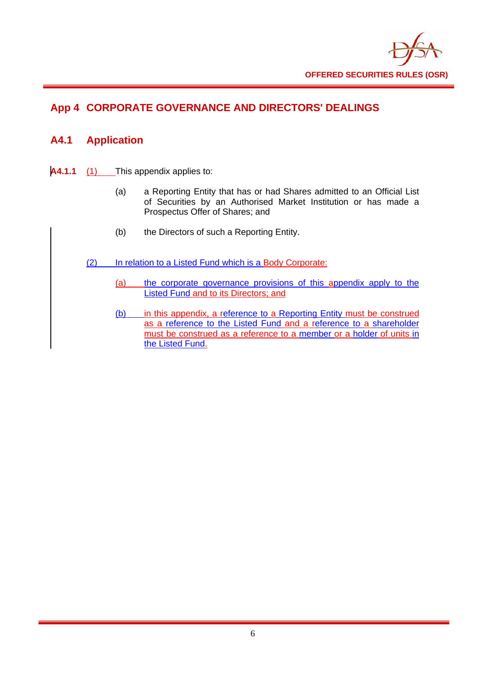

## **App 4 CORPORATE GOVERNANCE AND DIRECTORS' DEALINGS**

## **A4.1 Application**

- **A4.1.1** (1) This appendix applies to:
	- (a) a Reporting Entity that has or had Shares admitted to an Official List of Securities by an Authorised Market Institution or has made a Prospectus Offer of Shares; and
	- (b) the Directors of such a Reporting Entity.
	- (2) In relation to a Listed Fund which is a Body Corporate:
		- (a) the corporate governance provisions of this appendix apply to the Listed Fund and to its Directors; and
		- (b) in this appendix, a reference to a Reporting Entity must be construed as a reference to the Listed Fund and a reference to a shareholder must be construed as a reference to a member or a holder of units in the Listed Fund.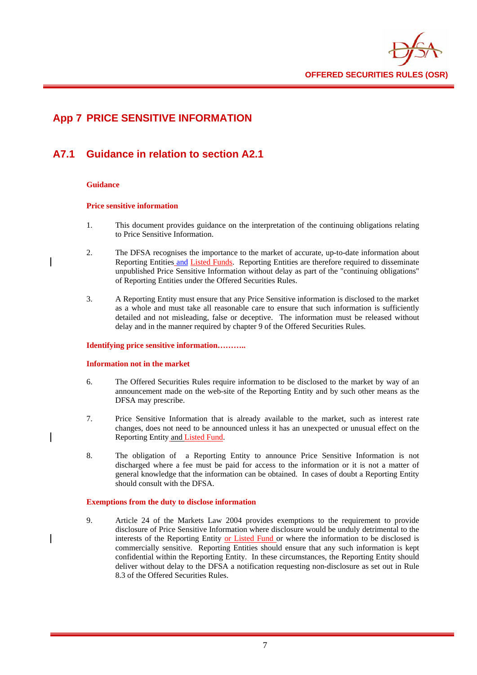

## **App 7 PRICE SENSITIVE INFORMATION**

## **A7.1 Guidance in relation to section A2.1**

#### **Guidance**

#### **Price sensitive information**

- 1. This document provides guidance on the interpretation of the continuing obligations relating to Price Sensitive Information.
- 2. The DFSA recognises the importance to the market of accurate, up-to-date information about Reporting Entities and Listed Funds. Reporting Entities are therefore required to disseminate unpublished Price Sensitive Information without delay as part of the "continuing obligations" of Reporting Entities under the Offered Securities Rules.
- 3. A Reporting Entity must ensure that any Price Sensitive information is disclosed to the market as a whole and must take all reasonable care to ensure that such information is sufficiently detailed and not misleading, false or deceptive. The information must be released without delay and in the manner required by chapter 9 of the Offered Securities Rules.

#### **Identifying price sensitive information………..**

#### **Information not in the market**

- 6. The Offered Securities Rules require information to be disclosed to the market by way of an announcement made on the web-site of the Reporting Entity and by such other means as the DFSA may prescribe.
- 7. Price Sensitive Information that is already available to the market, such as interest rate changes, does not need to be announced unless it has an unexpected or unusual effect on the Reporting Entity and Listed Fund.
- 8. The obligation of a Reporting Entity to announce Price Sensitive Information is not discharged where a fee must be paid for access to the information or it is not a matter of general knowledge that the information can be obtained. In cases of doubt a Reporting Entity should consult with the DFSA.

#### **Exemptions from the duty to disclose information**

9. Article 24 of the Markets Law 2004 provides exemptions to the requirement to provide disclosure of Price Sensitive Information where disclosure would be unduly detrimental to the interests of the Reporting Entity or Listed Fund or where the information to be disclosed is commercially sensitive. Reporting Entities should ensure that any such information is kept confidential within the Reporting Entity. In these circumstances, the Reporting Entity should deliver without delay to the DFSA a notification requesting non-disclosure as set out in Rule 8.3 of the Offered Securities Rules.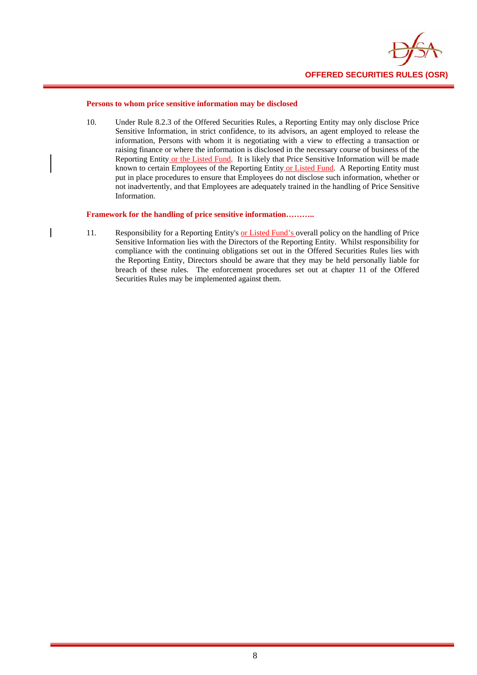

#### **Persons to whom price sensitive information may be disclosed**

10. Under Rule 8.2.3 of the Offered Securities Rules, a Reporting Entity may only disclose Price Sensitive Information, in strict confidence, to its advisors, an agent employed to release the information, Persons with whom it is negotiating with a view to effecting a transaction or raising finance or where the information is disclosed in the necessary course of business of the Reporting Entity or the Listed Fund. It is likely that Price Sensitive Information will be made known to certain Employees of the Reporting Entity or Listed Fund. A Reporting Entity must put in place procedures to ensure that Employees do not disclose such information, whether or not inadvertently, and that Employees are adequately trained in the handling of Price Sensitive Information.

#### **Framework for the handling of price sensitive information………..**

11. Responsibility for a Reporting Entity's or Listed Fund's overall policy on the handling of Price Sensitive Information lies with the Directors of the Reporting Entity. Whilst responsibility for compliance with the continuing obligations set out in the Offered Securities Rules lies with the Reporting Entity, Directors should be aware that they may be held personally liable for breach of these rules. The enforcement procedures set out at chapter 11 of the Offered Securities Rules may be implemented against them.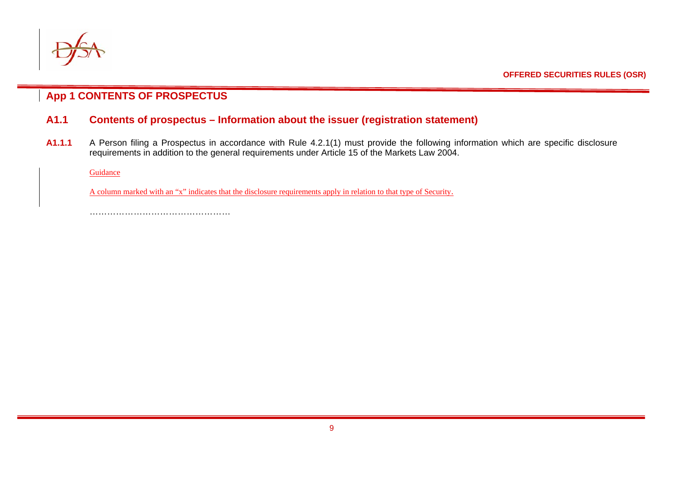

**App 1 CONTENTS OF PROSPECTUS**

## **A1.1 Contents of prospectus – Information about the issuer (registration statement)**

**A1.1.1** A Person filing a Prospectus in accordance with Rule 4.2.1(1) must provide the following information which are specific disclosure requirements in addition to the general requirements under Article 15 of the Markets Law 2004.

Guidance

A column marked with an "x" indicates that the disclosure requirements apply in relation to that type of Security.

…………………………………………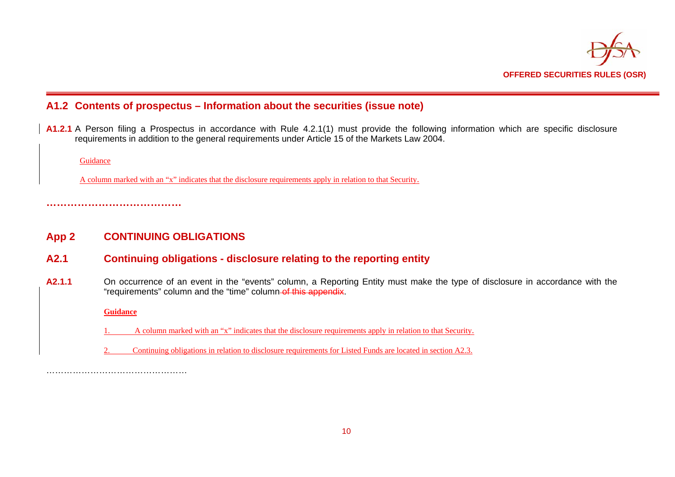

## **A1.2 Contents of prospectus – Information about the securities (issue note)**

**A1.2.1** A Person filing a Prospectus in accordance with Rule 4.2.1(1) must provide the following information which are specific disclosure requirements in addition to the general requirements under Article 15 of the Markets Law 2004.

Guidance

A column marked with an "x" indicates that the disclosure requirements apply in relation to that Security.

**…………………………………** 

## **App 2 CONTINUING OBLIGATIONS**

- **A2.1 Continuing obligations disclosure relating to the reporting entity**
- **A2.1.1** On occurrence of an event in the "events" column, a Reporting Entity must make the type of disclosure in accordance with the "requirements" column and the "time" column of this appendix.

**Guidance**

- 1. A column marked with an "x" indicates that the disclosure requirements apply in relation to that Security.
- 2. Continuing obligations in relation to disclosure requirements for Listed Funds are located in section A2.3.

……………………………………………………………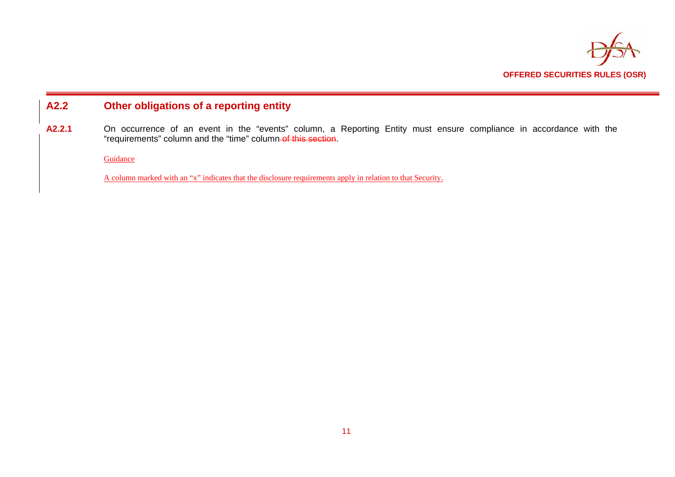

## **A2.2 Other obligations of a reporting entity**

A2.2.1 On occurrence of an event in the "events" column, a Reporting Entity must ensure compliance in accordance with the "requirements" column and the "time" column of this section.

Guidance

A column marked with an "x" indicates that the disclosure requirements apply in relation to that Security.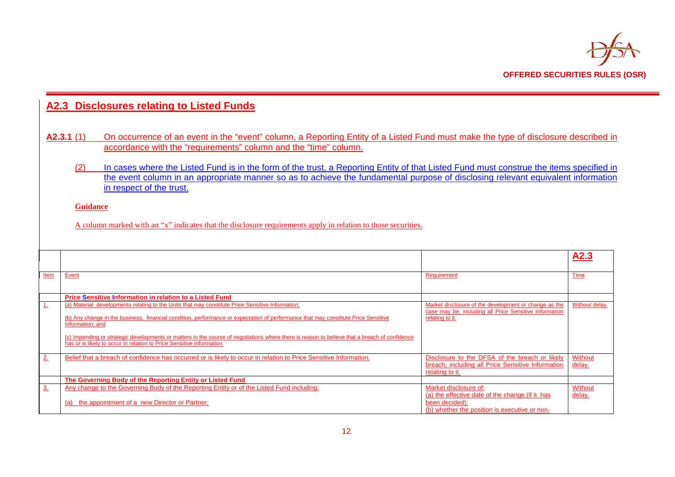

|                |                  | A2.3 Disclosures relating to Listed Funds                                                                                                                                                                                                                                                                                                                                                                                                                                                                         |                                                                                                                                             |                          |
|----------------|------------------|-------------------------------------------------------------------------------------------------------------------------------------------------------------------------------------------------------------------------------------------------------------------------------------------------------------------------------------------------------------------------------------------------------------------------------------------------------------------------------------------------------------------|---------------------------------------------------------------------------------------------------------------------------------------------|--------------------------|
|                | A2.3.1(1)<br>(2) | On occurrence of an event in the "event" column, a Reporting Entity of a Listed Fund must make the type of disclosure described in<br>accordance with the "requirements" column and the "time" column.<br>In cases where the Listed Fund is in the form of the trust, a Reporting Entity of that Listed Fund must construe the items specified in<br>the event column in an appropriate manner so as to achieve the fundamental purpose of disclosing relevant equivalent information<br>in respect of the trust. |                                                                                                                                             |                          |
|                | <b>Guidance</b>  | A column marked with an "x" indicates that the disclosure requirements apply in relation to those securities.                                                                                                                                                                                                                                                                                                                                                                                                     |                                                                                                                                             |                          |
|                |                  |                                                                                                                                                                                                                                                                                                                                                                                                                                                                                                                   |                                                                                                                                             | A2.3                     |
| Item           | Event            |                                                                                                                                                                                                                                                                                                                                                                                                                                                                                                                   | Requirement                                                                                                                                 | Time                     |
| 1              | Information; and | <b>Price Sensitive Information in relation to a Listed Fund</b><br>(a) Material developments relating to the Units that may constitute Price Sensitive Information;<br>(b) Any change in the business, financial condition, performance or expectation of performance that may constitute Price Sensitive                                                                                                                                                                                                         | Market disclosure of the development or change as the<br>case may be, including all Price Sensitive Information<br>relating to it.          | Without delay.           |
|                |                  | (c) Impending or strategic developments or matters in the course of negotiations where there is reason to believe that a breach of confidence<br>has or is likely to occur in relation to Price Sensitive Information.                                                                                                                                                                                                                                                                                            |                                                                                                                                             |                          |
| 2.             |                  | Belief that a breach of confidence has occurred or is likely to occur in relation to Price Sensitive Information.                                                                                                                                                                                                                                                                                                                                                                                                 | Disclosure to the DFSA of the breach or likely<br>breach, including all Price Sensitive Information<br>relating to it.                      | Without<br>delay.        |
|                |                  | The Governing Body of the Reporting Entity or Listed Fund                                                                                                                                                                                                                                                                                                                                                                                                                                                         |                                                                                                                                             |                          |
| 3 <sub>1</sub> |                  | Any change to the Governing Body of the Reporting Entity or of the Listed Fund including:<br>(a) the appointment of a new Director or Partner;                                                                                                                                                                                                                                                                                                                                                                    | Market disclosure of:<br>(a) the effective date of the change (if it has<br>been decided):<br>(b) whether the position is executive or non- | <b>Without</b><br>delay. |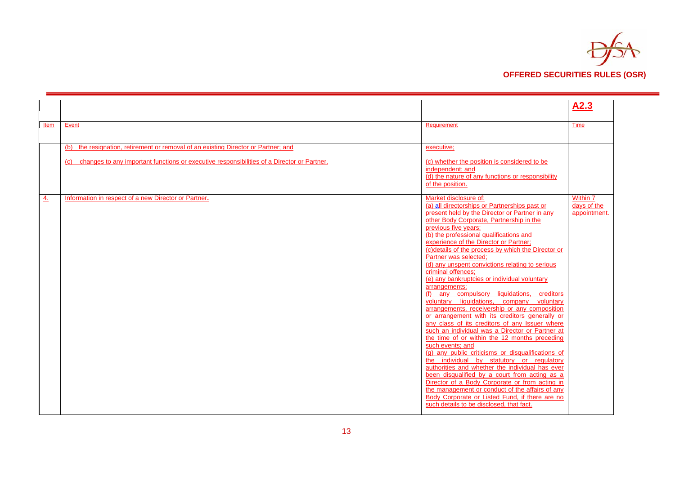

|      |                                                                                                |                                                                                                   | A2.3         |
|------|------------------------------------------------------------------------------------------------|---------------------------------------------------------------------------------------------------|--------------|
|      |                                                                                                |                                                                                                   |              |
| Item | Event                                                                                          | Requirement                                                                                       | Time         |
|      |                                                                                                |                                                                                                   |              |
|      | (b) the resignation, retirement or removal of an existing Director or Partner; and             | executive;                                                                                        |              |
|      |                                                                                                |                                                                                                   |              |
|      | (c) changes to any important functions or executive responsibilities of a Director or Partner. | (c) whether the position is considered to be<br>independent: and                                  |              |
|      |                                                                                                | (d) the nature of any functions or responsibility                                                 |              |
|      |                                                                                                | of the position.                                                                                  |              |
| 4.   | Information in respect of a new Director or Partner.                                           | Market disclosure of:                                                                             | Within 7     |
|      |                                                                                                | (a) all directorships or Partnerships past or                                                     | days of the  |
|      |                                                                                                | present held by the Director or Partner in any<br>other Body Corporate, Partnership in the        | appointment. |
|      |                                                                                                | previous five years;                                                                              |              |
|      |                                                                                                | (b) the professional qualifications and                                                           |              |
|      |                                                                                                | experience of the Director or Partner;<br>(c) details of the process by which the Director or     |              |
|      |                                                                                                | Partner was selected;                                                                             |              |
|      |                                                                                                | (d) any unspent convictions relating to serious                                                   |              |
|      |                                                                                                | criminal offences;<br>(e) any bankruptcies or individual voluntary                                |              |
|      |                                                                                                | arrangements;                                                                                     |              |
|      |                                                                                                | (f) any compulsory liquidations, creditors                                                        |              |
|      |                                                                                                | voluntary liquidations, company voluntary<br>arrangements, receivership or any composition        |              |
|      |                                                                                                | or arrangement with its creditors generally or                                                    |              |
|      |                                                                                                | any class of its creditors of any Issuer where                                                    |              |
|      |                                                                                                | such an individual was a Director or Partner at<br>the time of or within the 12 months preceding  |              |
|      |                                                                                                | such events; and                                                                                  |              |
|      |                                                                                                | (g) any public criticisms or disqualifications of                                                 |              |
|      |                                                                                                | the individual by statutory or regulatory<br>authorities and whether the individual has ever      |              |
|      |                                                                                                | been disqualified by a court from acting as a                                                     |              |
|      |                                                                                                | Director of a Body Corporate or from acting in                                                    |              |
|      |                                                                                                | the management or conduct of the affairs of any<br>Body Corporate or Listed Fund, if there are no |              |
|      |                                                                                                | such details to be disclosed, that fact.                                                          |              |
|      |                                                                                                |                                                                                                   |              |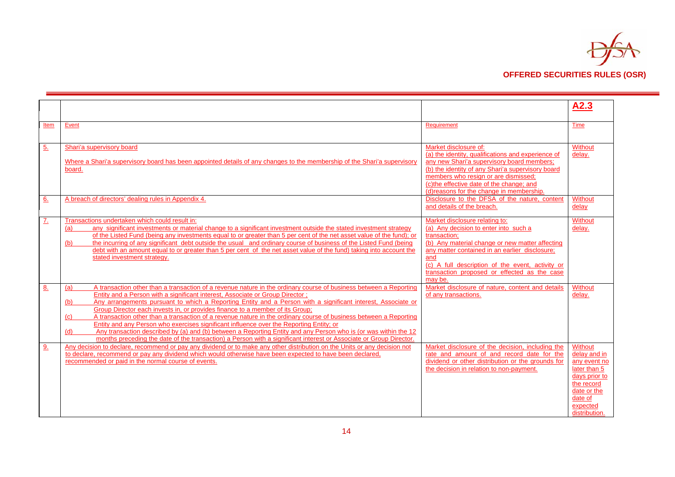

|              |                                                                                                                                                                                                                   |                                                    | A2.3           |
|--------------|-------------------------------------------------------------------------------------------------------------------------------------------------------------------------------------------------------------------|----------------------------------------------------|----------------|
|              |                                                                                                                                                                                                                   |                                                    |                |
| Item         | Event                                                                                                                                                                                                             | Requirement                                        | Time           |
|              |                                                                                                                                                                                                                   |                                                    |                |
|              |                                                                                                                                                                                                                   |                                                    |                |
| 5.           | Shari'a supervisory board                                                                                                                                                                                         | Market disclosure of:                              | Without        |
|              |                                                                                                                                                                                                                   | (a) the identity, qualifications and experience of | delay.         |
|              | Where a Shari'a supervisory board has been appointed details of any changes to the membership of the Shari'a supervisory                                                                                          | any new Shari'a supervisory board members;         |                |
|              | board.                                                                                                                                                                                                            | (b) the identity of any Shari'a supervisory board  |                |
|              |                                                                                                                                                                                                                   | members who resign or are dismissed;               |                |
|              |                                                                                                                                                                                                                   | (c)the effective date of the change; and           |                |
|              |                                                                                                                                                                                                                   | (d) reasons for the change in membership.          |                |
| 6.           | A breach of directors' dealing rules in Appendix 4.                                                                                                                                                               | Disclosure to the DFSA of the nature, content      | Without        |
|              |                                                                                                                                                                                                                   | and details of the breach.                         | delay          |
| $\mathbf{Z}$ | Transactions undertaken which could result in:                                                                                                                                                                    | Market disclosure relating to:                     | <b>Without</b> |
|              | any significant investments or material change to a significant investment outside the stated investment strategy<br>(a)                                                                                          | (a) Any decision to enter into such a              | delay.         |
|              | of the Listed Fund (being any investments equal to or greater than 5 per cent of the net asset value of the fund); or                                                                                             | transaction;                                       |                |
|              | the incurring of any significant debt outside the usual and ordinary course of business of the Listed Fund (being<br>(b)                                                                                          | (b) Any material change or new matter affecting    |                |
|              | debt with an amount equal to or greater than 5 per cent of the net asset value of the fund) taking into account the                                                                                               | any matter contained in an earlier disclosure;     |                |
|              | stated investment strategy.                                                                                                                                                                                       | and                                                |                |
|              |                                                                                                                                                                                                                   | (c) A full description of the event, activity or   |                |
|              |                                                                                                                                                                                                                   | transaction proposed or effected as the case       |                |
|              |                                                                                                                                                                                                                   | may be.                                            |                |
| 8.           | A transaction other than a transaction of a revenue nature in the ordinary course of business between a Reporting<br>(a)                                                                                          | Market disclosure of nature, content and details   | Without        |
|              | <b>Entity and a Person with a significant interest, Associate or Group Director:</b>                                                                                                                              | of any transactions.                               | delay.         |
|              | Any arrangements pursuant to which a Reporting Entity and a Person with a significant interest, Associate or<br>(b)                                                                                               |                                                    |                |
|              | Group Director each invests in, or provides finance to a member of its Group;                                                                                                                                     |                                                    |                |
|              | A transaction other than a transaction of a revenue nature in the ordinary course of business between a Reporting<br>$\left( c\right)$                                                                            |                                                    |                |
|              | Entity and any Person who exercises significant influence over the Reporting Entity; or<br>Any transaction described by (a) and (b) between a Reporting Entity and any Person who is (or was within the 12<br>(d) |                                                    |                |
|              | months preceding the date of the transaction) a Person with a significant interest or Associate or Group Director.                                                                                                |                                                    |                |
| <u>lo</u>    | Any decision to declare, recommend or pay any dividend or to make any other distribution on the Units or any decision not                                                                                         | Market disclosure of the decision, including the   | Without        |
|              | to declare, recommend or pay any dividend which would otherwise have been expected to have been declared.                                                                                                         | rate and amount of and record date for the         | delay and in   |
|              | recommended or paid in the normal course of events.                                                                                                                                                               | dividend or other distribution or the grounds for  | any event no   |
|              |                                                                                                                                                                                                                   | the decision in relation to non-payment.           | later than 5   |
|              |                                                                                                                                                                                                                   |                                                    | days prior to  |
|              |                                                                                                                                                                                                                   |                                                    | the record     |
|              |                                                                                                                                                                                                                   |                                                    | date or the    |
|              |                                                                                                                                                                                                                   |                                                    | date of        |
|              |                                                                                                                                                                                                                   |                                                    | expected       |
|              |                                                                                                                                                                                                                   |                                                    | distribution.  |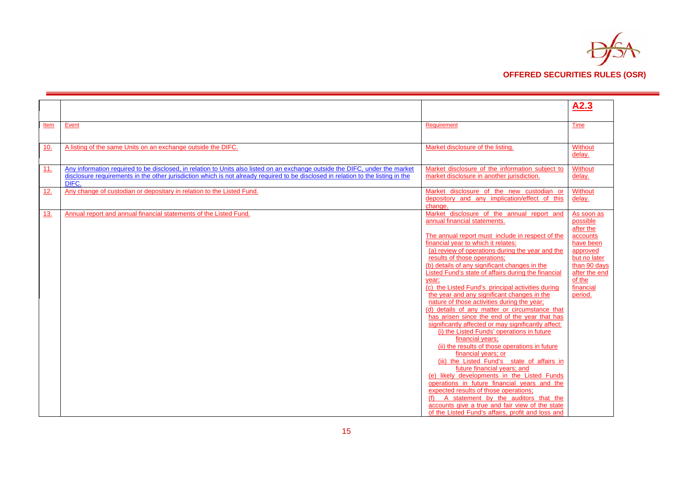

|            |                                                                                                                                   |                                                                    | A2.3                 |
|------------|-----------------------------------------------------------------------------------------------------------------------------------|--------------------------------------------------------------------|----------------------|
|            |                                                                                                                                   |                                                                    |                      |
| Item       | Event                                                                                                                             | Requirement                                                        | Time                 |
|            |                                                                                                                                   |                                                                    |                      |
| 10.        | A listing of the same Units on an exchange outside the DIFC.                                                                      | Market disclosure of the listing.                                  | <b>Without</b>       |
|            |                                                                                                                                   |                                                                    | delay.               |
| 11.        | Any information required to be disclosed, in relation to Units also listed on an exchange outside the DIFC, under the market      | Market disclosure of the information subject to                    | <b>Without</b>       |
|            | disclosure requirements in the other jurisdiction which is not already required to be disclosed in relation to the listing in the | market disclosure in another jurisdiction.                         | delay.               |
|            | DIFC.                                                                                                                             |                                                                    |                      |
| <u>12.</u> | Any change of custodian or depositary in relation to the Listed Fund.                                                             | Market disclosure of the new custodian or                          | Without              |
|            |                                                                                                                                   | depository and any implication/effect of this                      | delay.               |
| <u>13.</u> | Annual report and annual financial statements of the Listed Fund.                                                                 | change.<br>Market disclosure of the annual report and              | As soon as           |
|            |                                                                                                                                   | annual financial statements.                                       | possible             |
|            |                                                                                                                                   |                                                                    | after the            |
|            |                                                                                                                                   | The annual report must include in respect of the                   | accounts             |
|            |                                                                                                                                   | financial year to which it relates:                                | have been            |
|            |                                                                                                                                   | (a) review of operations during the year and the                   | approved             |
|            |                                                                                                                                   | results of those operations;                                       | but no later         |
|            |                                                                                                                                   | (b) details of any significant changes in the                      | than 90 days         |
|            |                                                                                                                                   | Listed Fund's state of affairs during the financial                | after the end        |
|            |                                                                                                                                   | year:<br>(c) the Listed Fund's principal activities during         | of the               |
|            |                                                                                                                                   | the year and any significant changes in the                        | financial<br>period. |
|            |                                                                                                                                   | nature of those activities during the year;                        |                      |
|            |                                                                                                                                   | (d) details of any matter or circumstance that                     |                      |
|            |                                                                                                                                   | has arisen since the end of the year that has                      |                      |
|            |                                                                                                                                   | significantly affected or may significantly affect:                |                      |
|            |                                                                                                                                   | (i) the Listed Funds' operations in future                         |                      |
|            |                                                                                                                                   | financial years:                                                   |                      |
|            |                                                                                                                                   | (ii) the results of those operations in future                     |                      |
|            |                                                                                                                                   | financial years; or<br>(iii) the Listed Fund's state of affairs in |                      |
|            |                                                                                                                                   | future financial years; and                                        |                      |
|            |                                                                                                                                   | (e) likely developments in the Listed Funds                        |                      |
|            |                                                                                                                                   | operations in future financial years and the                       |                      |
|            |                                                                                                                                   | expected results of those operations;                              |                      |
|            |                                                                                                                                   | A statement by the auditors that the                               |                      |
|            |                                                                                                                                   | accounts give a true and fair view of the state                    |                      |
|            |                                                                                                                                   | of the Listed Fund's affairs, profit and loss and                  |                      |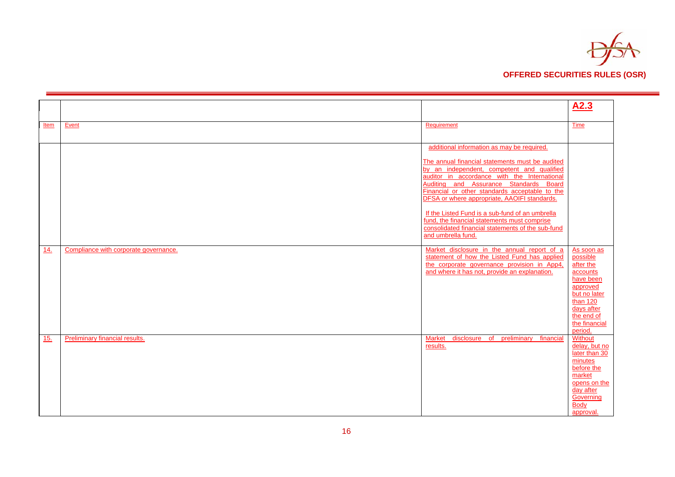

|      |                                       |                                                                                               | A2.3                     |
|------|---------------------------------------|-----------------------------------------------------------------------------------------------|--------------------------|
|      | Event                                 | Requirement                                                                                   |                          |
| Item |                                       |                                                                                               | Time                     |
|      |                                       |                                                                                               |                          |
|      |                                       | additional information as may be required.                                                    |                          |
|      |                                       |                                                                                               |                          |
|      |                                       | The annual financial statements must be audited<br>by an independent, competent and qualified |                          |
|      |                                       | auditor in accordance with the International                                                  |                          |
|      |                                       | Auditing and Assurance Standards Board                                                        |                          |
|      |                                       | Financial or other standards acceptable to the                                                |                          |
|      |                                       | DFSA or where appropriate, AAOIFI standards.                                                  |                          |
|      |                                       | If the Listed Fund is a sub-fund of an umbrella                                               |                          |
|      |                                       | fund, the financial statements must comprise                                                  |                          |
|      |                                       | consolidated financial statements of the sub-fund                                             |                          |
|      |                                       | and umbrella fund.                                                                            |                          |
| 14.  | Compliance with corporate governance. | Market disclosure in the annual report of a                                                   | As soon as               |
|      |                                       | statement of how the Listed Fund has applied                                                  | possible                 |
|      |                                       | the corporate governance provision in App4,                                                   | after the                |
|      |                                       | and where it has not, provide an explanation.                                                 | accounts<br>have been    |
|      |                                       |                                                                                               | approved                 |
|      |                                       |                                                                                               | but no later             |
|      |                                       |                                                                                               | than 120                 |
|      |                                       |                                                                                               | days after<br>the end of |
|      |                                       |                                                                                               | the financial            |
|      |                                       |                                                                                               | period.                  |
| 15.  | Preliminary financial results.        | disclosure of preliminary financial<br><b>Market</b>                                          | <b>Without</b>           |
|      |                                       | results.                                                                                      | delay, but no            |
|      |                                       |                                                                                               | later than 30<br>minutes |
|      |                                       |                                                                                               | before the               |
|      |                                       |                                                                                               | market                   |
|      |                                       |                                                                                               | opens on the             |
|      |                                       |                                                                                               | day after                |
|      |                                       |                                                                                               | Governing<br>Body        |
|      |                                       |                                                                                               | approval.                |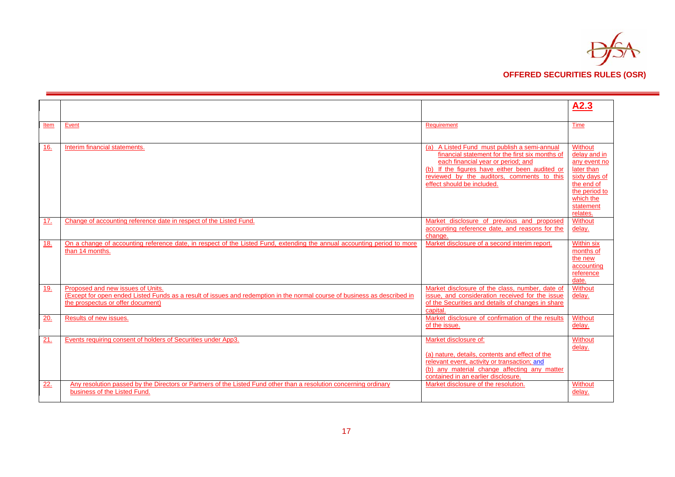

|      |                                                                                                                           |                                                   | A2.3                        |
|------|---------------------------------------------------------------------------------------------------------------------------|---------------------------------------------------|-----------------------------|
|      |                                                                                                                           |                                                   |                             |
| Item | Event                                                                                                                     | Requirement                                       | Time                        |
|      |                                                                                                                           |                                                   |                             |
|      |                                                                                                                           |                                                   |                             |
| 16.  | Interim financial statements.                                                                                             | (a) A Listed Fund must publish a semi-annual      | Without                     |
|      |                                                                                                                           | financial statement for the first six months of   | delay and in                |
|      |                                                                                                                           | each financial year or period; and                | any event no                |
|      |                                                                                                                           | (b) If the figures have either been audited or    | later than                  |
|      |                                                                                                                           | reviewed by the auditors, comments to this        | sixty days of               |
|      |                                                                                                                           | effect should be included.                        | the end of<br>the period to |
|      |                                                                                                                           |                                                   | which the                   |
|      |                                                                                                                           |                                                   | statement                   |
|      |                                                                                                                           |                                                   | relates.                    |
| 17.  | Change of accounting reference date in respect of the Listed Fund.                                                        | Market disclosure of previous and proposed        | Without                     |
|      |                                                                                                                           | accounting reference date, and reasons for the    | delay.                      |
|      |                                                                                                                           | change.                                           |                             |
| 18.  | On a change of accounting reference date, in respect of the Listed Fund, extending the annual accounting period to more   | Market disclosure of a second interim report.     | <b>Within six</b>           |
|      | than 14 months.                                                                                                           |                                                   | months of                   |
|      |                                                                                                                           |                                                   | the new                     |
|      |                                                                                                                           |                                                   | accounting                  |
|      |                                                                                                                           |                                                   | reference                   |
|      |                                                                                                                           |                                                   | date.                       |
| 19.  | Proposed and new issues of Units.                                                                                         | Market disclosure of the class, number, date of   | Without                     |
|      | (Except for open ended Listed Funds as a result of issues and redemption in the normal course of business as described in | issue, and consideration received for the issue   | delay.                      |
|      | the prospectus or offer document)                                                                                         | of the Securities and details of changes in share |                             |
|      |                                                                                                                           | capital.                                          |                             |
| 20.  | Results of new issues.                                                                                                    | Market disclosure of confirmation of the results  | Without                     |
|      |                                                                                                                           | of the issue.                                     | delay.                      |
| 21   | Events requiring consent of holders of Securities under App3.                                                             | Market disclosure of:                             | Without                     |
|      |                                                                                                                           |                                                   | delay.                      |
|      |                                                                                                                           | (a) nature, details, contents and effect of the   |                             |
|      |                                                                                                                           | relevant event, activity or transaction; and      |                             |
|      |                                                                                                                           | (b) any material change affecting any matter      |                             |
|      |                                                                                                                           | contained in an earlier disclosure.               |                             |
| 22.  | Any resolution passed by the Directors or Partners of the Listed Fund other than a resolution concerning ordinary         | Market disclosure of the resolution.              | Without                     |
|      | business of the Listed Fund.                                                                                              |                                                   | delay.                      |
|      |                                                                                                                           |                                                   |                             |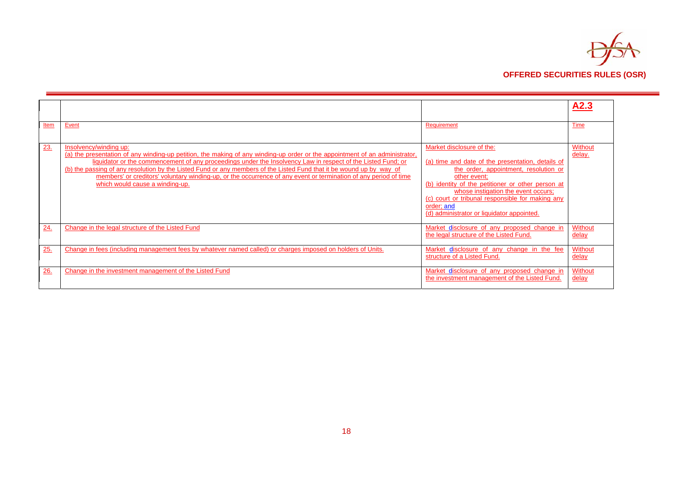

|      |                                                                                                                                                                                                                                                                                                                                                                                                                                                                                                                                                      |                                                                                                                                                                                                                                                                                                                                                     | A2.3                    |
|------|------------------------------------------------------------------------------------------------------------------------------------------------------------------------------------------------------------------------------------------------------------------------------------------------------------------------------------------------------------------------------------------------------------------------------------------------------------------------------------------------------------------------------------------------------|-----------------------------------------------------------------------------------------------------------------------------------------------------------------------------------------------------------------------------------------------------------------------------------------------------------------------------------------------------|-------------------------|
| Item | Event                                                                                                                                                                                                                                                                                                                                                                                                                                                                                                                                                | Requirement                                                                                                                                                                                                                                                                                                                                         | <b>Time</b>             |
| 23.  | Insolvency/winding up:<br>(a) the presentation of any winding-up petition, the making of any winding-up order or the appointment of an administrator,<br>liquidator or the commencement of any proceedings under the Insolvency Law in respect of the Listed Fund; or<br>(b) the passing of any resolution by the Listed Fund or any members of the Listed Fund that it be wound up by way of<br>members' or creditors' voluntary winding-up, or the occurrence of any event or termination of any period of time<br>which would cause a winding-up. | Market disclosure of the:<br>(a) time and date of the presentation, details of<br>the order, appointment, resolution or<br>other event;<br>(b) identity of the petitioner or other person at<br>whose instigation the event occurs;<br>(c) court or tribunal responsible for making any<br>order; and<br>(d) administrator or liquidator appointed. | Without<br>delay.       |
| 24.  | Change in the legal structure of the Listed Fund                                                                                                                                                                                                                                                                                                                                                                                                                                                                                                     | Market disclosure of any proposed change in<br>the legal structure of the Listed Fund.                                                                                                                                                                                                                                                              | Without<br><u>delay</u> |
| 25.  | Change in fees (including management fees by whatever named called) or charges imposed on holders of Units.                                                                                                                                                                                                                                                                                                                                                                                                                                          | Market disclosure of any change in the fee<br>structure of a Listed Fund.                                                                                                                                                                                                                                                                           | Without<br>delay        |
| 26.  | Change in the investment management of the Listed Fund                                                                                                                                                                                                                                                                                                                                                                                                                                                                                               | Market disclosure of any proposed change in<br>the investment management of the Listed Fund.                                                                                                                                                                                                                                                        | Without<br><u>delay</u> |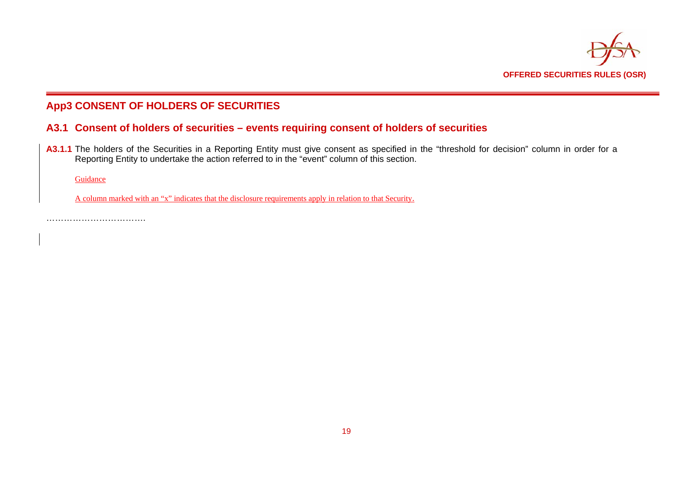

## **App3 CONSENT OF HOLDERS OF SECURITIES**

## **A3.1 Consent of holders of securities – events requiring consent of holders of securities**

A3.1.1 The holders of the Securities in a Reporting Entity must give consent as specified in the "threshold for decision" column in order for a Reporting Entity to undertake the action referred to in the "event" column of this section.

Guidance

A column marked with an "x" indicates that the disclosure requirements apply in relation to that Security.

…………………………….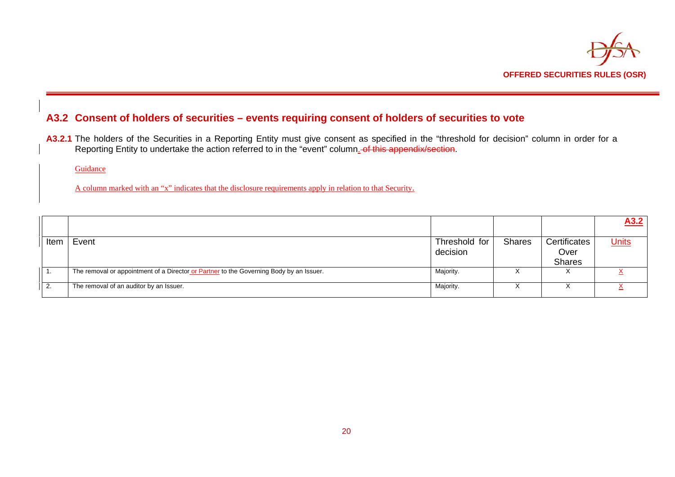

## **A3.2 Consent of holders of securities – events requiring consent of holders of securities to vote**

**A3.2.1** The holders of the Securities in a Reporting Entity must give consent as specified in the "threshold for decision" column in order for a Reporting Entity to undertake the action referred to in the "event" column<u>.</u> o<del>f this appendix/section</del>.

Guidance

A column marked with an "x" indicates that the disclosure requirements apply in relation to that Security.

|      |                                                                                         |                           |               |                                       | A3.2         |
|------|-----------------------------------------------------------------------------------------|---------------------------|---------------|---------------------------------------|--------------|
| Item | Event                                                                                   | Threshold for<br>decision | <b>Shares</b> | Certificates<br>Over<br><b>Shares</b> | <b>Units</b> |
|      | The removal or appointment of a Director or Partner to the Governing Body by an Issuer. | Majority.                 |               |                                       |              |
|      | The removal of an auditor by an Issuer.                                                 | Majority.                 |               |                                       |              |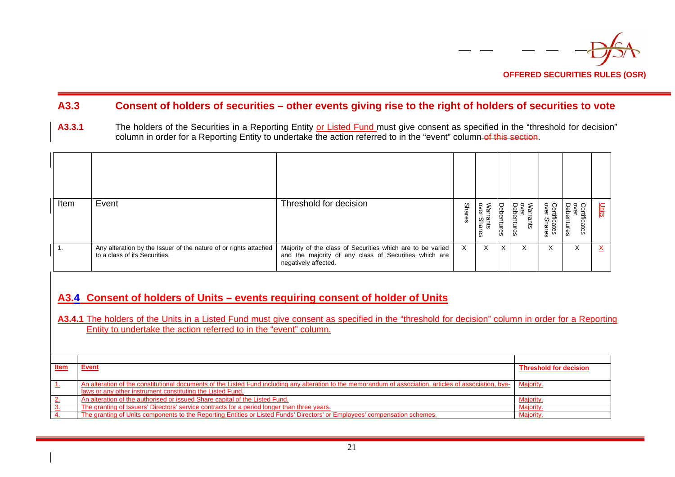

## **A3.3 Consent of holders of securities – other events giving rise to the right of holders of securities to vote**

A3.3.1 The holders of the Securities in a Reporting Entity or Listed Fund must give consent as specified in the "threshold for decision" column in order for a Reporting Entity to undertake the action referred to in the "event" column of this section.

| Item | Event                                                                                             | Threshold for decision                                                                                                                      | <b>Shares</b> | War<br>Warrants<br>over Shar | Debentures | over<br>Debentures<br>rants | Certificates<br>over Shares | Certificates<br>over<br>Debentures | $\frac{1}{2}$ |
|------|---------------------------------------------------------------------------------------------------|---------------------------------------------------------------------------------------------------------------------------------------------|---------------|------------------------------|------------|-----------------------------|-----------------------------|------------------------------------|---------------|
|      | Any alteration by the Issuer of the nature of or rights attached<br>to a class of its Securities. | Majority of the class of Securities which are to be varied<br>and the majority of any class of Securities which are<br>negatively affected. | X.            | X                            | X.         | X                           | X                           | X                                  |               |

## **A3.4 Consent of holders of Units – events requiring consent of holder of Units**

A3.4.1 The holders of the Units in a Listed Fund must give consent as specified in the "threshold for decision" column in order for a Reporting Entity to undertake the action referred to in the "event" column.

| <b>Item</b> | Event                                                                                                                                                     | <b>Threshold for decision</b> |
|-------------|-----------------------------------------------------------------------------------------------------------------------------------------------------------|-------------------------------|
|             |                                                                                                                                                           |                               |
|             | An alteration of the constitutional documents of the Listed Fund including any alteration to the memorandum of association, articles of association, bye- | Majority.                     |
|             | laws or any other instrument constituting the Listed Fund.                                                                                                |                               |
|             | An alteration of the authorised or issued Share capital of the Listed Fund.                                                                               | <b>Majority</b>               |
|             | The granting of Issuers' Directors' service contracts for a period longer than three years.                                                               | <b>Majority</b>               |
|             | The granting of Units components to the Reporting Entities or Listed Funds' Directors' or Employees' compensation schemes.                                | <b>Majority</b>               |